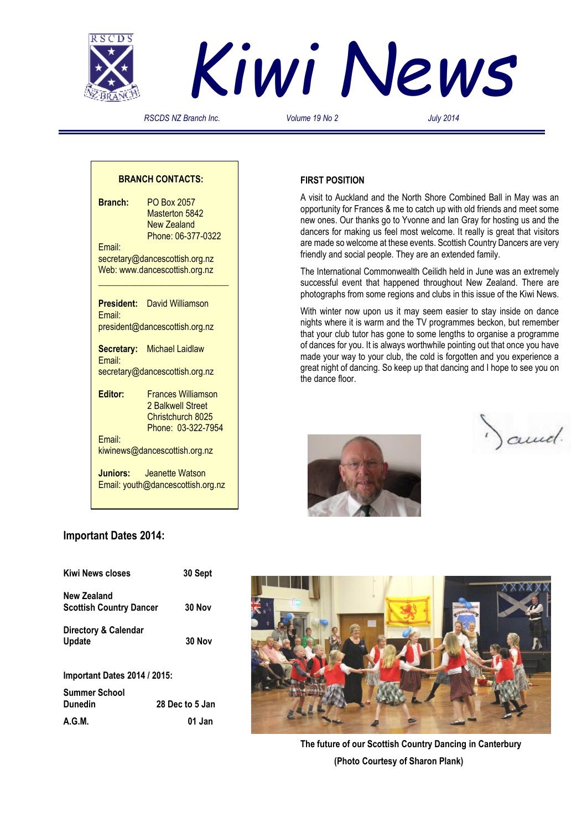



*RSCDS NZ Branch Inc. Volume 19 No 2 July 2014*

## **BRANCH CONTACTS:**

**Branch:** PO Box 2057 Masterton 5842 New Zealand Phone: 06-377-0322 Email: secretary@dancescottish.org.nz Web: www.dancescottish.org.nz **\_\_\_\_\_\_\_\_\_\_\_\_\_\_\_\_\_\_\_\_\_\_\_\_\_\_\_\_\_**

**President:** David Williamson Email: president@dancescottish.org.nz

**Secretary:** Michael Laidlaw Email: secretary@dancescottish.org.nz

**Editor:** Frances Williamson 2 Balkwell Street Christchurch 8025 Phone: 03-322-7954 Email:

kiwinews@dancescottish.org.nz

**Juniors:** Jeanette Watson Email: youth@dancescottish.org.nz

## **FIRST POSITION**

A visit to Auckland and the North Shore Combined Ball in May was an opportunity for Frances & me to catch up with old friends and meet some new ones. Our thanks go to Yvonne and Ian Gray for hosting us and the dancers for making us feel most welcome. It really is great that visitors are made so welcome at these events. Scottish Country Dancers are very friendly and social people. They are an extended family.

The International Commonwealth Ceilidh held in June was an extremely successful event that happened throughout New Zealand. There are photographs from some regions and clubs in this issue of the Kiwi News.

With winter now upon us it may seem easier to stay inside on dance nights where it is warm and the TV programmes beckon, but remember that your club tutor has gone to some lengths to organise a programme of dances for you. It is always worthwhile pointing out that once you have made your way to your club, the cold is forgotten and you experience a great night of dancing. So keep up that dancing and I hope to see you on the dance floor.



) and.

## **Important Dates 2014:**

| <b>Kiwi News closes</b>               | 30 Sept         |
|---------------------------------------|-----------------|
| New Zealand                           |                 |
| <b>Scottish Country Dancer</b>        | 30 Nov          |
| Directory & Calendar<br><b>Update</b> | 30 Nov          |
| <b>Important Dates 2014 / 2015:</b>   |                 |
| Summer School                         |                 |
| Dunedin                               | 28 Dec to 5 Jan |
| A.G.M.                                | 01 Jan          |



**The future of our Scottish Country Dancing in Canterbury (Photo Courtesy of Sharon Plank)**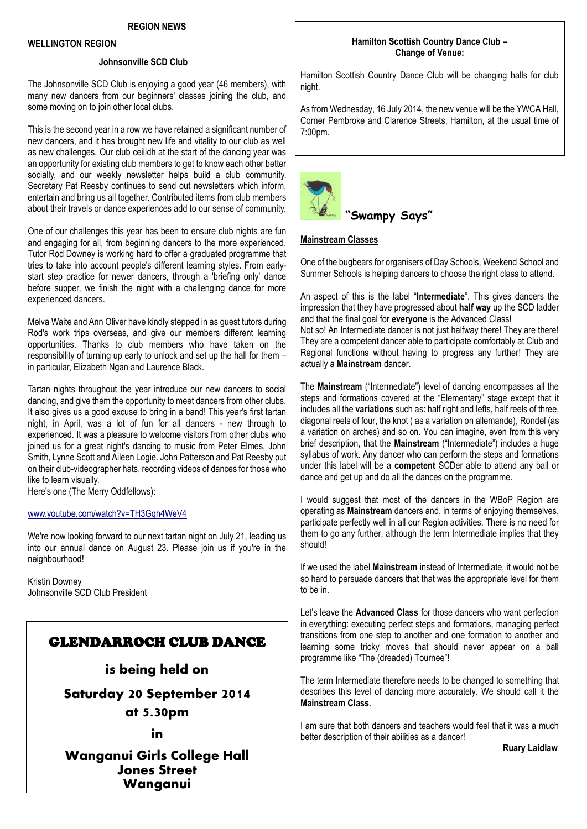#### **WELLINGTON REGION**

## **Johnsonville SCD Club**

The Johnsonville SCD Club is enjoying a good year (46 members), with many new dancers from our beginners' classes joining the club, and some moving on to join other local clubs.

This is the second year in a row we have retained a significant number of new dancers, and it has brought new life and vitality to our club as well as new challenges. Our club ceilidh at the start of the dancing year was an opportunity for existing club members to get to know each other better socially, and our weekly newsletter helps build a club community. Secretary Pat Reesby continues to send out newsletters which inform, entertain and bring us all together. Contributed items from club members about their travels or dance experiences add to our sense of community.

One of our challenges this year has been to ensure club nights are fun and engaging for all, from beginning dancers to the more experienced. Tutor Rod Downey is working hard to offer a graduated programme that tries to take into account people's different learning styles. From earlystart step practice for newer dancers, through a 'briefing only' dance before supper, we finish the night with a challenging dance for more experienced dancers.

Melva Waite and Ann Oliver have kindly stepped in as guest tutors during Rod's work trips overseas, and give our members different learning opportunities. Thanks to club members who have taken on the responsibility of turning up early to unlock and set up the hall for them – in particular, Elizabeth Ngan and Laurence Black.

Tartan nights throughout the year introduce our new dancers to social dancing, and give them the opportunity to meet dancers from other clubs. It also gives us a good excuse to bring in a band! This year's first tartan night, in April, was a lot of fun for all dancers - new through to experienced. It was a pleasure to welcome visitors from other clubs who joined us for a great night's dancing to music from Peter Elmes, John Smith, Lynne Scott and Aileen Logie. John Patterson and Pat Reesby put on their club-videographer hats, recording videos of dances for those who like to learn visually.

Here's one (The Merry Oddfellows):

#### [www.youtube.com/watch?v=TH3Gqh4WeV4](http://www.youtube.com/watch?v=TH3Gqh4WeV4)

We're now looking forward to our next tartan night on July 21, leading us into our annual dance on August 23. Please join us if you're in the neighbourhood!

Kristin Downey Johnsonville SCD Club President

## GLENDARROCH CLUB DANCE

**is being held on**

**Saturday 20 September 2014 at 5.30pm**

**in**

**Wanganui Girls College Hall Jones Street Wanganui**

## **Hamilton Scottish Country Dance Club – Change of Venue:**

Hamilton Scottish Country Dance Club will be changing halls for club night.

As from Wednesday, 16 July 2014, the new venue will be the YWCA Hall, Corner Pembroke and Clarence Streets, Hamilton, at the usual time of 7:00pm.



## **Mainstream Classes**

One of the bugbears for organisers of Day Schools, Weekend School and Summer Schools is helping dancers to choose the right class to attend.

An aspect of this is the label "**Intermediate**". This gives dancers the impression that they have progressed about **half way** up the SCD ladder and that the final goal for **everyone** is the Advanced Class!

Not so! An Intermediate dancer is not just halfway there! They are there! They are a competent dancer able to participate comfortably at Club and Regional functions without having to progress any further! They are actually a **Mainstream** dancer.

The **Mainstream** ("Intermediate") level of dancing encompasses all the steps and formations covered at the "Elementary" stage except that it includes all the **variations** such as: half right and lefts, half reels of three, diagonal reels of four, the knot ( as a variation on allemande), Rondel (as a variation on arches) and so on. You can imagine, even from this very brief description, that the **Mainstream** ("Intermediate") includes a huge syllabus of work. Any dancer who can perform the steps and formations under this label will be a **competent** SCDer able to attend any ball or dance and get up and do all the dances on the programme.

I would suggest that most of the dancers in the WBoP Region are operating as **Mainstream** dancers and, in terms of enjoying themselves, participate perfectly well in all our Region activities. There is no need for them to go any further, although the term Intermediate implies that they should!

If we used the label **Mainstream** instead of Intermediate, it would not be so hard to persuade dancers that that was the appropriate level for them to be in.

Let's leave the **Advanced Class** for those dancers who want perfection in everything: executing perfect steps and formations, managing perfect transitions from one step to another and one formation to another and learning some tricky moves that should never appear on a ball programme like "The (dreaded) Tournee"!

The term Intermediate therefore needs to be changed to something that describes this level of dancing more accurately. We should call it the **Mainstream Class**.

I am sure that both dancers and teachers would feel that it was a much better description of their abilities as a dancer!

 **Ruary Laidlaw**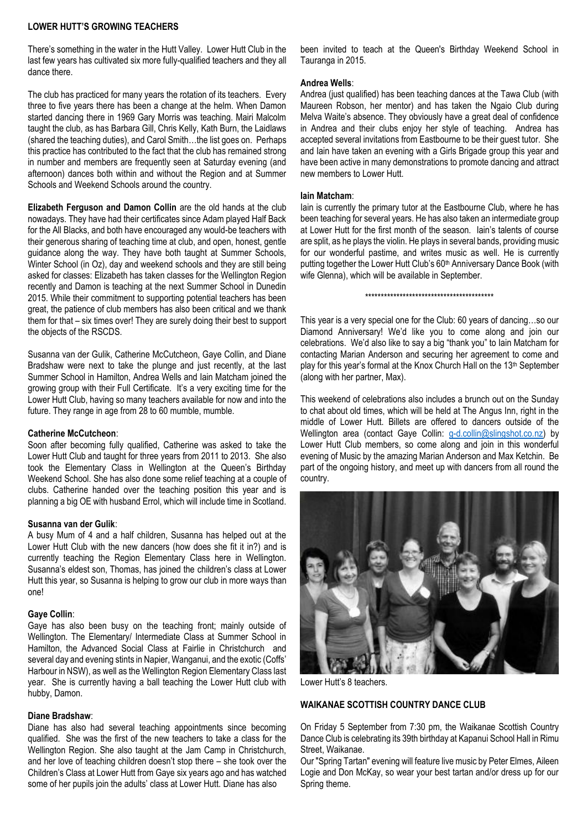## **LOWER HUTT'S GROWING TEACHERS**

There's something in the water in the Hutt Valley. Lower Hutt Club in the last few years has cultivated six more fully-qualified teachers and they all dance there.

The club has practiced for many years the rotation of its teachers. Every three to five years there has been a change at the helm. When Damon started dancing there in 1969 Gary Morris was teaching. Mairi Malcolm taught the club, as has Barbara Gill, Chris Kelly, Kath Burn, the Laidlaws (shared the teaching duties), and Carol Smith…the list goes on. Perhaps this practice has contributed to the fact that the club has remained strong in number and members are frequently seen at Saturday evening (and afternoon) dances both within and without the Region and at Summer Schools and Weekend Schools around the country.

**Elizabeth Ferguson and Damon Collin** are the old hands at the club nowadays. They have had their certificates since Adam played Half Back for the All Blacks, and both have encouraged any would-be teachers with their generous sharing of teaching time at club, and open, honest, gentle guidance along the way. They have both taught at Summer Schools, Winter School (in Oz), day and weekend schools and they are still being asked for classes: Elizabeth has taken classes for the Wellington Region recently and Damon is teaching at the next Summer School in Dunedin 2015. While their commitment to supporting potential teachers has been great, the patience of club members has also been critical and we thank them for that – six times over! They are surely doing their best to support the objects of the RSCDS.

Susanna van der Gulik, Catherine McCutcheon, Gaye Collin, and Diane Bradshaw were next to take the plunge and just recently, at the last Summer School in Hamilton, Andrea Wells and Iain Matcham joined the growing group with their Full Certificate. It's a very exciting time for the Lower Hutt Club, having so many teachers available for now and into the future. They range in age from 28 to 60 mumble, mumble.

#### **Catherine McCutcheon**:

Soon after becoming fully qualified, Catherine was asked to take the Lower Hutt Club and taught for three years from 2011 to 2013. She also took the Elementary Class in Wellington at the Queen's Birthday Weekend School. She has also done some relief teaching at a couple of clubs. Catherine handed over the teaching position this year and is planning a big OE with husband Errol, which will include time in Scotland.

#### **Susanna van der Gulik**:

A busy Mum of 4 and a half children, Susanna has helped out at the Lower Hutt Club with the new dancers (how does she fit it in?) and is currently teaching the Region Elementary Class here in Wellington. Susanna's eldest son, Thomas, has joined the children's class at Lower Hutt this year, so Susanna is helping to grow our club in more ways than one!

## **Gaye Collin**:

Gaye has also been busy on the teaching front; mainly outside of Wellington. The Elementary/ Intermediate Class at Summer School in Hamilton, the Advanced Social Class at Fairlie in Christchurch and several day and evening stints in Napier, Wanganui, and the exotic (Coffs' Harbour in NSW), as well as the Wellington Region Elementary Class last year. She is currently having a ball teaching the Lower Hutt club with hubby, Damon.

## **Diane Bradshaw**:

Diane has also had several teaching appointments since becoming qualified. She was the first of the new teachers to take a class for the Wellington Region. She also taught at the Jam Camp in Christchurch, and her love of teaching children doesn't stop there – she took over the Children's Class at Lower Hutt from Gaye six years ago and has watched some of her pupils join the adults' class at Lower Hutt. Diane has also

been invited to teach at the Queen's Birthday Weekend School in Tauranga in 2015.

#### **Andrea Wells**:

Andrea (just qualified) has been teaching dances at the Tawa Club (with Maureen Robson, her mentor) and has taken the Ngaio Club during Melva Waite's absence. They obviously have a great deal of confidence in Andrea and their clubs enjoy her style of teaching. Andrea has accepted several invitations from Eastbourne to be their guest tutor. She and Iain have taken an evening with a Girls Brigade group this year and have been active in many demonstrations to promote dancing and attract new members to Lower Hutt.

#### **Iain Matcham**:

Iain is currently the primary tutor at the Eastbourne Club, where he has been teaching for several years. He has also taken an intermediate group at Lower Hutt for the first month of the season. Iain's talents of course are split, as he plays the violin. He plays in several bands, providing music for our wonderful pastime, and writes music as well. He is currently putting together the Lower Hutt Club's 60<sup>th</sup> Anniversary Dance Book (with wife Glenna), which will be available in September.

\*\*\*\*\*\*\*\*\*\*\*\*\*\*\*\*\*\*\*\*\*\*\*\*\*\*\*\*\*\*\*\*\*\*\*\*\*\*\*\*\*

This year is a very special one for the Club: 60 years of dancing…so our Diamond Anniversary! We'd like you to come along and join our celebrations. We'd also like to say a big "thank you" to Iain Matcham for contacting Marian Anderson and securing her agreement to come and play for this year's formal at the Knox Church Hall on the 13<sup>th</sup> September (along with her partner, Max).

This weekend of celebrations also includes a brunch out on the Sunday to chat about old times, which will be held at The Angus Inn, right in the middle of Lower Hutt. Billets are offered to dancers outside of the Wellington area (contact Gaye Collin: [g-d.collin@slingshot.co.nz\)](mailto:g-d.collin@slingshot.co.nz) by Lower Hutt Club members, so come along and join in this wonderful evening of Music by the amazing Marian Anderson and Max Ketchin. Be part of the ongoing history, and meet up with dancers from all round the country.



Lower Hutt's 8 teachers.

## **WAIKANAE SCOTTISH COUNTRY DANCE CLUB**

On Friday 5 September from 7:30 pm, the Waikanae Scottish Country Dance Club is celebrating its 39th birthday at Kapanui School Hall in Rimu Street, Waikanae.

Our "Spring Tartan" evening will feature live music by Peter Elmes, Aileen Logie and Don McKay, so wear your best tartan and/or dress up for our Spring theme.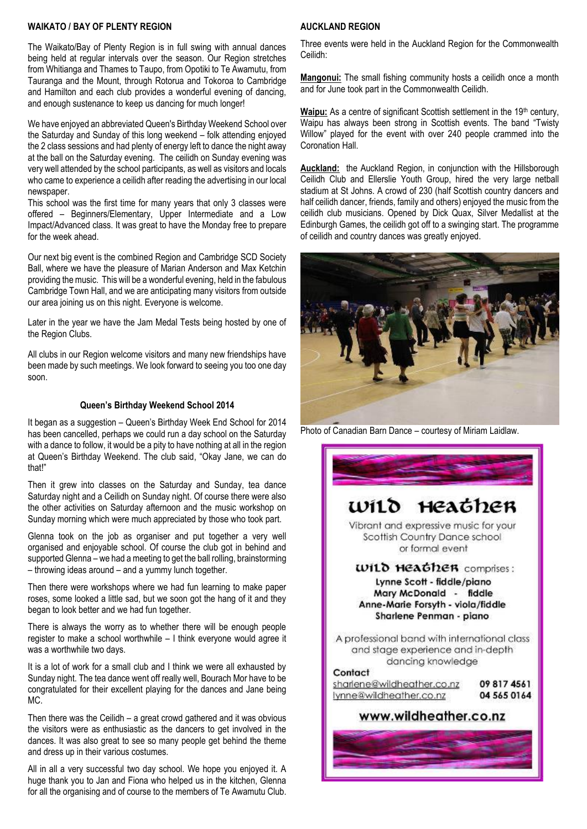## **WAIKATO / BAY OF PLENTY REGION**

The Waikato/Bay of Plenty Region is in full swing with annual dances being held at regular intervals over the season. Our Region stretches from Whitianga and Thames to Taupo, from Opotiki to Te Awamutu, from Tauranga and the Mount, through Rotorua and Tokoroa to Cambridge and Hamilton and each club provides a wonderful evening of dancing, and enough sustenance to keep us dancing for much longer!

We have enjoyed an abbreviated Queen's Birthday Weekend School over the Saturday and Sunday of this long weekend – folk attending enjoyed the 2 class sessions and had plenty of energy left to dance the night away at the ball on the Saturday evening. The ceilidh on Sunday evening was very well attended by the school participants, as well as visitors and locals who came to experience a ceilidh after reading the advertising in our local newspaper.

This school was the first time for many years that only 3 classes were offered – Beginners/Elementary, Upper Intermediate and a Low Impact/Advanced class. It was great to have the Monday free to prepare for the week ahead.

Our next big event is the combined Region and Cambridge SCD Society Ball, where we have the pleasure of Marian Anderson and Max Ketchin providing the music. This will be a wonderful evening, held in the fabulous Cambridge Town Hall, and we are anticipating many visitors from outside our area joining us on this night. Everyone is welcome.

Later in the year we have the Jam Medal Tests being hosted by one of the Region Clubs.

All clubs in our Region welcome visitors and many new friendships have been made by such meetings. We look forward to seeing you too one day soon.

#### **Queen's Birthday Weekend School 2014**

It began as a suggestion – Queen's Birthday Week End School for 2014 has been cancelled, perhaps we could run a day school on the Saturday with a dance to follow, it would be a pity to have nothing at all in the region at Queen's Birthday Weekend. The club said, "Okay Jane, we can do that!"

Then it grew into classes on the Saturday and Sunday, tea dance Saturday night and a Ceilidh on Sunday night. Of course there were also the other activities on Saturday afternoon and the music workshop on Sunday morning which were much appreciated by those who took part.

Glenna took on the job as organiser and put together a very well organised and enjoyable school. Of course the club got in behind and supported Glenna – we had a meeting to get the ball rolling, brainstorming – throwing ideas around – and a yummy lunch together.

Then there were workshops where we had fun learning to make paper roses, some looked a little sad, but we soon got the hang of it and they began to look better and we had fun together.

There is always the worry as to whether there will be enough people register to make a school worthwhile – I think everyone would agree it was a worthwhile two days.

It is a lot of work for a small club and I think we were all exhausted by Sunday night. The tea dance went off really well, Bourach Mor have to be congratulated for their excellent playing for the dances and Jane being MC.

Then there was the Ceilidh – a great crowd gathered and it was obvious the visitors were as enthusiastic as the dancers to get involved in the dances. It was also great to see so many people get behind the theme and dress up in their various costumes.

All in all a very successful two day school. We hope you enjoyed it. A huge thank you to Jan and Fiona who helped us in the kitchen, Glenna for all the organising and of course to the members of Te Awamutu Club.

## **AUCKLAND REGION**

Three events were held in the Auckland Region for the Commonwealth Ceilidh:

**Mangonui:** The small fishing community hosts a ceilidh once a month and for June took part in the Commonwealth Ceilidh.

Waipu: As a centre of significant Scottish settlement in the 19<sup>th</sup> century, Waipu has always been strong in Scottish events. The band "Twisty Willow" played for the event with over 240 people crammed into the Coronation Hall.

**Auckland:** the Auckland Region, in conjunction with the Hillsborough Ceilidh Club and Ellerslie Youth Group, hired the very large netball stadium at St Johns. A crowd of 230 (half Scottish country dancers and half ceilidh dancer, friends, family and others) enjoyed the music from the ceilidh club musicians. Opened by Dick Quax, Silver Medallist at the Edinburgh Games, the ceilidh got off to a swinging start. The programme of ceilidh and country dances was greatly enjoyed.



Photo of Canadian Barn Dance – courtesy of Miriam Laidlaw.

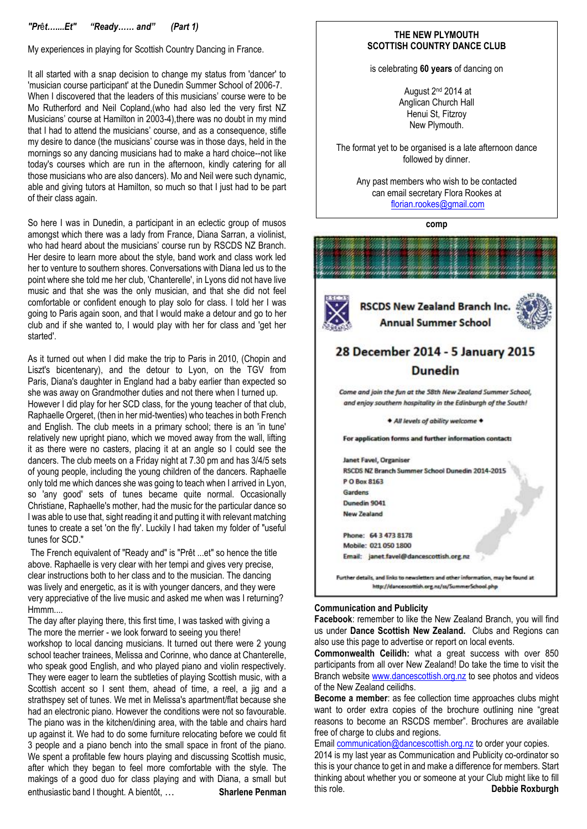## *"Pr*ê*t…....Et" "Ready…… and" (Part 1)*

My experiences in playing for Scottish Country Dancing in France.

It all started with a snap decision to change my status from 'dancer' to 'musician course participant' at the Dunedin Summer School of 2006-7. When I discovered that the leaders of this musicians' course were to be Mo Rutherford and Neil Copland,(who had also led the very first NZ Musicians' course at Hamilton in 2003-4), there was no doubt in my mind that I had to attend the musicians' course, and as a consequence, stifle my desire to dance (the musicians' course was in those days, held in the mornings so any dancing musicians had to make a hard choice--not like today's courses which are run in the afternoon, kindly catering for all those musicians who are also dancers). Mo and Neil were such dynamic, able and giving tutors at Hamilton, so much so that I just had to be part of their class again.

So here I was in Dunedin, a participant in an eclectic group of musos amongst which there was a lady from France, Diana Sarran, a violinist, who had heard about the musicians' course run by RSCDS NZ Branch. Her desire to learn more about the style, band work and class work led her to venture to southern shores. Conversations with Diana led us to the point where she told me her club, 'Chanterelle', in Lyons did not have live music and that she was the only musician, and that she did not feel comfortable or confident enough to play solo for class. I told her I was going to Paris again soon, and that I would make a detour and go to her club and if she wanted to, I would play with her for class and 'get her started'.

As it turned out when I did make the trip to Paris in 2010, (Chopin and Liszt's bicentenary), and the detour to Lyon, on the TGV from Paris, Diana's daughter in England had a baby earlier than expected so she was away on Grandmother duties and not there when I turned up.

However I did play for her SCD class, for the young teacher of that club, Raphaelle Orgeret, (then in her mid-twenties) who teaches in both French and English. The club meets in a primary school; there is an 'in tune' relatively new upright piano, which we moved away from the wall, lifting it as there were no casters, placing it at an angle so I could see the dancers. The club meets on a Friday night at 7.30 pm and has 3/4/5 sets of young people, including the young children of the dancers. Raphaelle only told me which dances she was going to teach when I arrived in Lyon, so 'any good' sets of tunes became quite normal. Occasionally Christiane, Raphaelle's mother, had the music for the particular dance so I was able to use that, sight reading it and putting it with relevant matching tunes to create a set 'on the fly'. Luckily I had taken my folder of "useful tunes for SCD."

The French equivalent of "Ready and" is "Prêt ...et" so hence the title above. Raphaelle is very clear with her tempi and gives very precise, clear instructions both to her class and to the musician. The dancing was lively and energetic, as it is with younger dancers, and they were very appreciative of the live music and asked me when was I returning? Hmmm....

The day after playing there, this first time, I was tasked with giving a The more the merrier - we look forward to seeing you there! workshop to local dancing musicians. It turned out there were 2 young school teacher trainees, Melissa and Corinne, who dance at Chanterelle, who speak good English, and who played piano and violin respectively. They were eager to learn the subtleties of playing Scottish music, with a Scottish accent so I sent them, ahead of time, a reel, a jig and a strathspey set of tunes. We met in Melissa's apartment/flat because she had an electronic piano. However the conditions were not so favourable. The piano was in the kitchen/dining area, with the table and chairs hard up against it. We had to do some furniture relocating before we could fit 3 people and a piano bench into the small space in front of the piano. We spent a profitable few hours playing and discussing Scottish music, after which they began to feel more comfortable with the style. The makings of a good duo for class playing and with Diana, a small but enthusiastic band I thought. A bientôt, … **Sharlene Penman**

#### **THE NEW PLYMOUTH SCOTTISH COUNTRY DANCE CLUB**

is celebrating **60 years** of dancing on

August 2nd 2014 at Anglican Church Hall Henui St, Fitzroy New Plymouth.

The format yet to be organised is a late afternoon dance followed by dinner.

Any past members who wish to be contacted can email secretary Flora Rookes at [florian.rookes@gmail.com](mailto:florian.rookes@gmail.com)

**comp**



#### **Communication and Publicity**

**Facebook**: remember to like the New Zealand Branch, you will find us under **Dance Scottish New Zealand.** Clubs and Regions can also use this page to advertise or report on local events.

**Commonwealth Ceilidh:** what a great success with over 850 participants from all over New Zealand! Do take the time to visit the Branch websit[e www.dancescottish.org.nz](http://www.dancescottish.org.nz/) to see photos and videos of the New Zealand ceilidhs.

**Become a member**: as fee collection time approaches clubs might want to order extra copies of the brochure outlining nine "great reasons to become an RSCDS member". Brochures are available free of charge to clubs and regions.

Emai[l communication@dancescottish.org.nz](mailto:communication@dancescottish.org.nz) to order your copies.

2014 is my last year as Communication and Publicity co-ordinator so this is your chance to get in and make a difference for members. Start thinking about whether you or someone at your Club might like to fill this role. **Debbie Roxburgh**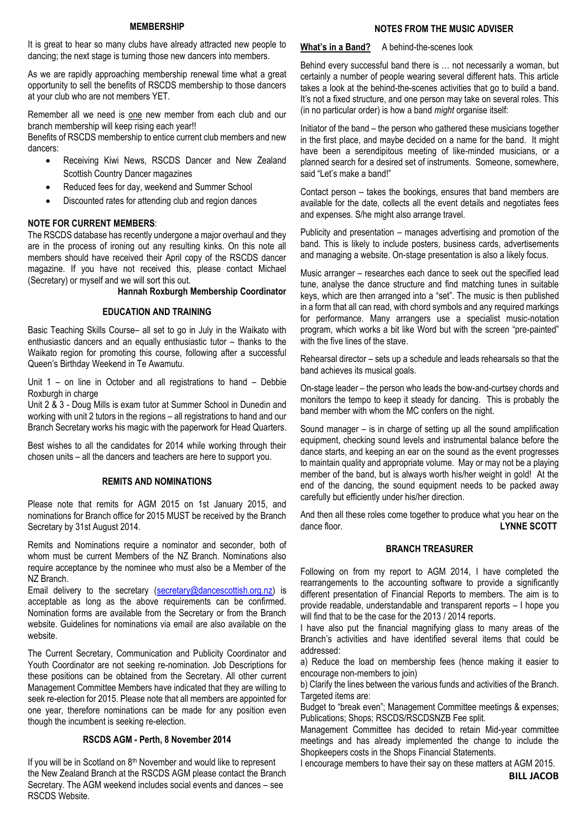#### **MEMBERSHIP**

It is great to hear so many clubs have already attracted new people to dancing; the next stage is turning those new dancers into members.

As we are rapidly approaching membership renewal time what a great opportunity to sell the benefits of RSCDS membership to those dancers at your club who are not members YET.

Remember all we need is one new member from each club and our branch membership will keep rising each year!!

Benefits of RSCDS membership to entice current club members and new dancers:

- Receiving Kiwi News, RSCDS Dancer and New Zealand Scottish Country Dancer magazines
- Reduced fees for day, weekend and Summer School
- Discounted rates for attending club and region dances

## **NOTE FOR CURRENT MEMBERS**:

The RSCDS database has recently undergone a major overhaul and they are in the process of ironing out any resulting kinks. On this note all members should have received their April copy of the RSCDS dancer magazine. If you have not received this, please contact Michael (Secretary) or myself and we will sort this out.

## **Hannah Roxburgh Membership Coordinator**

#### **EDUCATION AND TRAINING**

Basic Teaching Skills Course– all set to go in July in the Waikato with enthusiastic dancers and an equally enthusiastic tutor – thanks to the Waikato region for promoting this course, following after a successful Queen's Birthday Weekend in Te Awamutu.

Unit 1 – on line in October and all registrations to hand – Debbie Roxburgh in charge

Unit 2 & 3 - Doug Mills is exam tutor at Summer School in Dunedin and working with unit 2 tutors in the regions – all registrations to hand and our Branch Secretary works his magic with the paperwork for Head Quarters.

Best wishes to all the candidates for 2014 while working through their chosen units – all the dancers and teachers are here to support you.

## **REMITS AND NOMINATIONS**

Please note that remits for AGM 2015 on 1st January 2015, and nominations for Branch office for 2015 MUST be received by the Branch Secretary by 31st August 2014.

Remits and Nominations require a nominator and seconder, both of whom must be current Members of the NZ Branch. Nominations also require acceptance by the nominee who must also be a Member of the NZ Branch.

Email delivery to the secretary [\(secretary@dancescottish.org.nz\)](mailto:secretary@dancescottish.org.nz) is acceptable as long as the above requirements can be confirmed. Nomination forms are available from the Secretary or from the Branch website. Guidelines for nominations via email are also available on the website.

The Current Secretary, Communication and Publicity Coordinator and Youth Coordinator are not seeking re-nomination. Job Descriptions for these positions can be obtained from the Secretary. All other current Management Committee Members have indicated that they are willing to seek re-election for 2015. Please note that all members are appointed for one year, therefore nominations can be made for any position even though the incumbent is seeking re-election.

## **RSCDS AGM - Perth, 8 November 2014**

If you will be in Scotland on 8<sup>th</sup> November and would like to represent the New Zealand Branch at the RSCDS AGM please contact the Branch Secretary. The AGM weekend includes social events and dances – see RSCDS Website.

## **NOTES FROM THE MUSIC ADVISER**

What's in a Band? A behind-the-scenes look

Behind every successful band there is … not necessarily a woman, but certainly a number of people wearing several different hats. This article takes a look at the behind-the-scenes activities that go to build a band. It's not a fixed structure, and one person may take on several roles. This (in no particular order) is how a band *might* organise itself:

Initiator of the band – the person who gathered these musicians together in the first place, and maybe decided on a name for the band. It might have been a serendipitous meeting of like-minded musicians, or a planned search for a desired set of instruments. Someone, somewhere, said "Let's make a band!"

Contact person – takes the bookings, ensures that band members are available for the date, collects all the event details and negotiates fees and expenses. S/he might also arrange travel.

Publicity and presentation – manages advertising and promotion of the band. This is likely to include posters, business cards, advertisements and managing a website. On-stage presentation is also a likely focus.

Music arranger – researches each dance to seek out the specified lead tune, analyse the dance structure and find matching tunes in suitable keys, which are then arranged into a "set". The music is then published in a form that all can read, with chord symbols and any required markings for performance. Many arrangers use a specialist music-notation program, which works a bit like Word but with the screen "pre-painted" with the five lines of the stave.

Rehearsal director – sets up a schedule and leads rehearsals so that the band achieves its musical goals.

On-stage leader – the person who leads the bow-and-curtsey chords and monitors the tempo to keep it steady for dancing. This is probably the band member with whom the MC confers on the night.

Sound manager – is in charge of setting up all the sound amplification equipment, checking sound levels and instrumental balance before the dance starts, and keeping an ear on the sound as the event progresses to maintain quality and appropriate volume. May or may not be a playing member of the band, but is always worth his/her weight in gold! At the end of the dancing, the sound equipment needs to be packed away carefully but efficiently under his/her direction.

And then all these roles come together to produce what you hear on the dance floor **LYNNE SCOTT** 

## **BRANCH TREASURER**

Following on from my report to AGM 2014, I have completed the rearrangements to the accounting software to provide a significantly different presentation of Financial Reports to members. The aim is to provide readable, understandable and transparent reports – I hope you will find that to be the case for the 2013 / 2014 reports.

I have also put the financial magnifying glass to many areas of the Branch's activities and have identified several items that could be addressed:

a) Reduce the load on membership fees (hence making it easier to encourage non-members to join)

b) Clarify the lines between the various funds and activities of the Branch. Targeted items are:

Budget to "break even"; Management Committee meetings & expenses; Publications; Shops; RSCDS/RSCDSNZB Fee split.

Management Committee has decided to retain Mid-year committee meetings and has already implemented the change to include the Shopkeepers costs in the Shops Financial Statements.

I encourage members to have their say on these matters at AGM 2015.

 **BILL JACOB**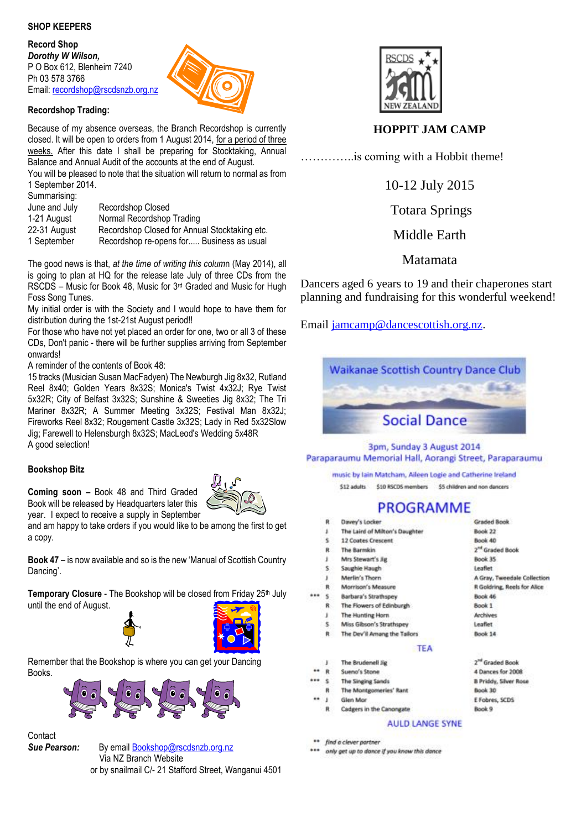## **SHOP KEEPERS**

**Record Shop** *Dorothy W Wilson,*  P O Box 612, Blenheim 7240 Ph 03 578 3766 Email: [recordshop@rscdsnzb.org.nz](mailto:recordshop@rscdsnzb.org.nz)



## **Recordshop Trading:**

Because of my absence overseas, the Branch Recordshop is currently closed. It will be open to orders from 1 August 2014, for a period of three weeks. After this date I shall be preparing for Stocktaking, Annual Balance and Annual Audit of the accounts at the end of August. You will be pleased to note that the situation will return to normal as from

| 1 September 2014. |                                               |
|-------------------|-----------------------------------------------|
| Summarising:      |                                               |
| June and July     | Recordshop Closed                             |
| 1-21 August       | Normal Recordshop Trading                     |
| 22-31 August      | Recordshop Closed for Annual Stocktaking etc. |
| 1 September       | Recordshop re-opens for Business as usual     |

The good news is that, *at the time of writing this colum*n (May 2014), all is going to plan at HQ for the release late July of three CDs from the RSCDS – Music for Book 48, Music for 3rd Graded and Music for Hugh Foss Song Tunes.

My initial order is with the Society and I would hope to have them for distribution during the 1st-21st August period!!

For those who have not yet placed an order for one, two or all 3 of these CDs, Don't panic - there will be further supplies arriving from September onwards!

A reminder of the contents of Book 48:

15 tracks (Musician Susan MacFadyen) The Newburgh Jig 8x32, Rutland Reel 8x40; Golden Years 8x32S; Monica's Twist 4x32J; Rye Twist 5x32R; City of Belfast 3x32S; Sunshine & Sweeties Jig 8x32; The Tri Mariner 8x32R; A Summer Meeting 3x32S; Festival Man 8x32J; Fireworks Reel 8x32; Rougement Castle 3x32S; Lady in Red 5x32Slow Jig; Farewell to Helensburgh 8x32S; MacLeod's Wedding 5x48R A good selection!

## **Bookshop Bitz**

**Coming soon –** Book 48 and Third Graded Book will be released by Headquarters later this year. I expect to receive a supply in September



and am happy to take orders if you would like to be among the first to get a copy.

**Book 47** – is now available and so is the new 'Manual of Scottish Country Dancing'.

**Temporary Closure** - The Bookshop will be closed from Friday 25<sup>th</sup> July until the end of August.



Remember that the Bookshop is where you can get your Dancing Books.



# Contact

*Sue Pearson:* By email [Bookshop@rscdsnzb.org.nz](mailto:Bookshop@rscdsnzb.org.nz)

 Via NZ Branch Website or by snailmail C/- 21 Stafford Street, Wanganui 4501



## **HOPPIT JAM CAMP**

…………..is coming with a Hobbit theme!

10-12 July 2015

Totara Springs

Middle Earth

## Matamata

Dancers aged 6 years to 19 and their chaperones start planning and fundraising for this wonderful weekend!

Email [jamcamp@dancescottish.org.nz.](mailto:jamcamp@dancescottish.org.nz)



## 3pm, Sunday 3 August 2014 Paraparaumu Memorial Hall, Aorangi Street, Paraparaumu

music by lain Matcham, Aileen Logie and Catherine Ireland

\$12 adults \$10 RSCDS members \$5 children and non dancers

# PROGRAMME

- Davey's Locker The Laird of Milton's Daughter  $\mathbf{I}$ × 12 Coates Crescent The Barmkin  $\mathbf R$  $\cdot$ Mrs Stewart's lie Saughie Haugh **S** Merlin's Thorn R Morrison's Measure s **Barbara's Strathspey** The Flowers of Edinburgh R The Hunting Horn . .s Miss Gibson's Strathspey The Dev'll Amang the Tailors R **TEA** The Brudenell Jig Sueno's Stone . **The Singing Sands** The Montgomeries' Rant Glen Mor Cadgers in the Canongate **AULD LANGE SYNE** 
	-
- \*\* find a clever partner
- only get up to dance if you know this dance
- **Graded Book** Book 22 Book 40 2<sup>nd</sup> Graded Book Book 35 Leaflet A Gray, Tweedale Collection R Goldring, Reels for Alice Book 46 Book 1 Archives Leaflet Book 14
- $2^{nd}$  Graded Book 4 Dances for 2008 **B Priddy, Silver Rose** Book 30 E Fobres, SCDS Book 9